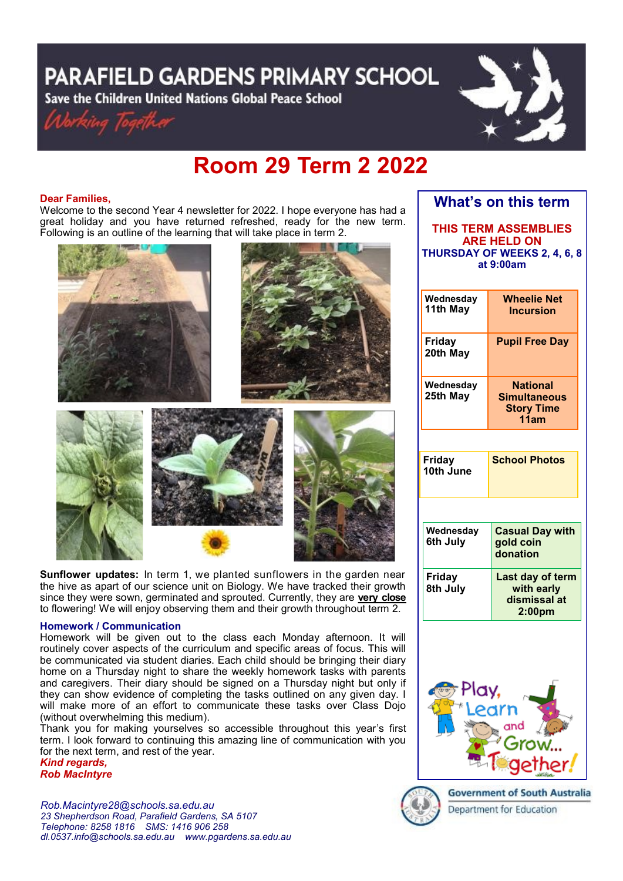# **PARAFIELD GARDENS PRIMARY SCHOOL**

Save the Children United Nations Global Peace School





## **Room 29 Term 2 2022**

## **Dear Families,**

Welcome to the second Year 4 newsletter for 2022. I hope everyone has had a great holiday and you have returned refreshed, ready for the new term. Following is an outline of the learning that will take place in term 2.



**Sunflower updates:** In term 1, we planted sunflowers in the garden near the hive as apart of our science unit on Biology. We have tracked their growth since they were sown, germinated and sprouted. Currently, they are **very close** to flowering! We will enjoy observing them and their growth throughout term 2.

## **Homework / Communication**

Homework will be given out to the class each Monday afternoon. It will routinely cover aspects of the curriculum and specific areas of focus. This will be communicated via student diaries. Each child should be bringing their diary home on a Thursday night to share the weekly homework tasks with parents and caregivers. Their diary should be signed on a Thursday night but only if they can show evidence of completing the tasks outlined on any given day. I will make more of an effort to communicate these tasks over Class Dojo (without overwhelming this medium).

Thank you for making yourselves so accessible throughout this year's first term. I look forward to continuing this amazing line of communication with you for the next term, and rest of the year.

*Kind regards, Rob MacIntyre*

*Rob.Macintyre28@schools.sa.edu.au 23 Shepherdson Road, Parafield Gardens, SA 5107 Telephone: 8258 1816 [SMS:](http://www.youtube.com/user/ParafieldGR7) 1416 906 258 dl[.0537.info@schools.sa.edu.au](mailto:dl.0537_info@schools.sa.edu.au) www.pgardens.sa.edu.au*

| What's on this term                                                                            |                                                                      |
|------------------------------------------------------------------------------------------------|----------------------------------------------------------------------|
| <b>THIS TERM ASSEMBLIES</b><br><b>ARE HELD ON</b><br>THURSDAY OF WEEKS 2, 4, 6, 8<br>at 9:00am |                                                                      |
| Wednesday<br>11th May                                                                          | <b>Wheelie Net</b><br><b>Incursion</b>                               |
| Friday<br>20th May                                                                             | <b>Pupil Free Day</b>                                                |
| Wednesday<br>25th May                                                                          | <b>National</b><br><b>Simultaneous</b><br><b>Story Time</b><br>11am  |
| Friday<br>10th June                                                                            | <b>School Photos</b>                                                 |
|                                                                                                |                                                                      |
| Wednesday<br>6th July                                                                          | <b>Casual Day with</b><br>gold coin<br>donation                      |
| <b>Friday</b><br>8th July                                                                      | Last day of term<br>with early<br>dismissal at<br>2:00 <sub>pm</sub> |





**Government of South Australia** Department for Education